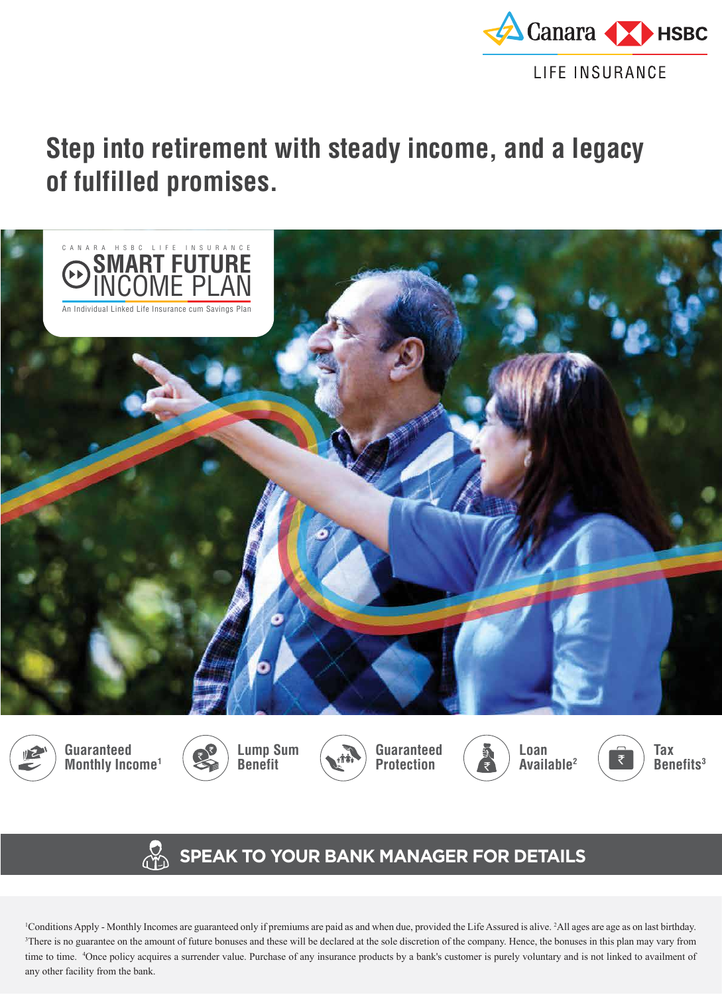

# **Step into retirement with steady income, and a legacy of fulfilled promises.**



## **SPEAK TO YOUR BANK MANAGER FOR DETAILS**

1 Conditions Apply - Monthly Incomes are guaranteed only if premiums are paid as and when due, provided the Life Assured is alive. 2 All ages are age as on last birthday. <sup>3</sup>There is no guarantee on the amount of future bonuses and these will be declared at the sole discretion of the company. Hence, the bonuses in this plan may vary from time to time. 4 Once policy acquires a surrender value. Purchase of any insurance products by a bank's customer is purely voluntary and is not linked to availment of any other facility from the bank.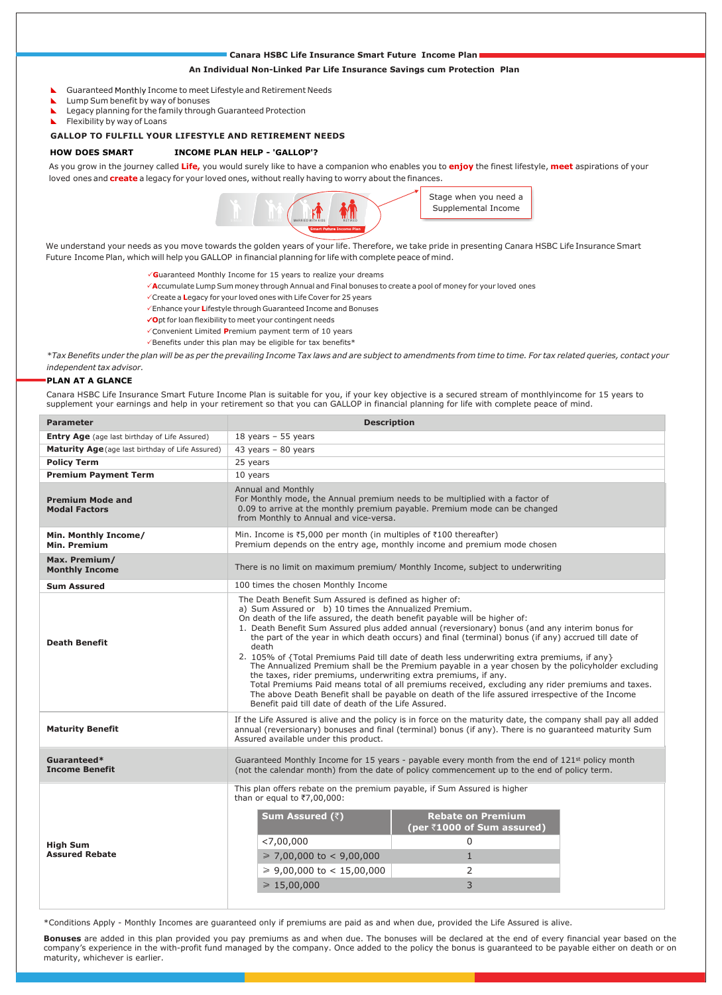#### **Canara HSBC Life Insurance Smart Future Income Plan**

#### **An Individual Non-Linked Par Life Insurance Savings cum Protection Plan**

- Guaranteed Monthly Income to meet Lifestyle and Retirement Needs
- **Lump Sum benefit by way of bonuses**
- **L** Legacy planning for the family through Guaranteed Protection
- Flexibility by way of Loans

#### **GALLOP TO FULFILL YOUR LIFESTYLE AND RETIREMENT NEEDS**

#### **HOW DOES SMART INCOME PLAN HELP - 'GALLOP'?**

As you grow in the journey called **Life,** you would surely like to have a companion who enables you to **enjoy** the finest lifestyle, **meet** aspirations of your loved ones and **create** a legacy for your loved ones, without really having to worry about the finances.



We understand your needs as you move towards the golden years of your life. Therefore, we take pride in presenting Canara HSBC Life Insurance Smart Future Income Plan, which will help you GALLOP in financial planning for life with complete peace of mind.

- **G**uaranteed Monthly Income for 15 years to realize your dreams
- **A**ccumulate Lump Sum money through Annual and Final bonuses to create a pool of money for your loved ones
	- Create a **L**egacy for your loved ones with Life Cover for 25 years
	- Enhance your **L**ifestyle through Guaranteed Income and Bonuses
	- **O**pt for loan flexibility to meet your contingent needs
	- Convenient Limited Premium payment term of 10 years
	- $\checkmark$ Benefits under this plan may be eligible for tax benefits\*

*independent tax advisor. \*Tax Benefits under the plan will be as per the prevailing Income Tax laws and are subject to amendments from time to time. For tax related queries, contact your*

#### **PLAN AT A GLANCE**

Canara HSBC Life Insurance Smart Future Income Plan is suitable for you, if your key objective is a secured stream of monthlyincome for 15 years to supplement your earnings and help in your retirement so that you can GALLOP in financial planning for life with complete peace of mind.

| <b>Parameter</b>                                     | <b>Description</b>                                                                                                                                                                                                                                                                                                                                                                                                                                                                                                                                                                                                                                                                                                                                                                                                                                                                                                                                         |  |  |  |  |  |
|------------------------------------------------------|------------------------------------------------------------------------------------------------------------------------------------------------------------------------------------------------------------------------------------------------------------------------------------------------------------------------------------------------------------------------------------------------------------------------------------------------------------------------------------------------------------------------------------------------------------------------------------------------------------------------------------------------------------------------------------------------------------------------------------------------------------------------------------------------------------------------------------------------------------------------------------------------------------------------------------------------------------|--|--|--|--|--|
| <b>Entry Age</b> (age last birthday of Life Assured) | 18 years $-55$ years                                                                                                                                                                                                                                                                                                                                                                                                                                                                                                                                                                                                                                                                                                                                                                                                                                                                                                                                       |  |  |  |  |  |
| Maturity Age (age last birthday of Life Assured)     | 43 years $-80$ years                                                                                                                                                                                                                                                                                                                                                                                                                                                                                                                                                                                                                                                                                                                                                                                                                                                                                                                                       |  |  |  |  |  |
| <b>Policy Term</b>                                   | 25 years                                                                                                                                                                                                                                                                                                                                                                                                                                                                                                                                                                                                                                                                                                                                                                                                                                                                                                                                                   |  |  |  |  |  |
| <b>Premium Payment Term</b>                          | 10 years                                                                                                                                                                                                                                                                                                                                                                                                                                                                                                                                                                                                                                                                                                                                                                                                                                                                                                                                                   |  |  |  |  |  |
| <b>Premium Mode and</b><br><b>Modal Factors</b>      | Annual and Monthly<br>For Monthly mode, the Annual premium needs to be multiplied with a factor of<br>0.09 to arrive at the monthly premium payable. Premium mode can be changed<br>from Monthly to Annual and vice-versa.                                                                                                                                                                                                                                                                                                                                                                                                                                                                                                                                                                                                                                                                                                                                 |  |  |  |  |  |
| Min. Monthly Income/<br>Min. Premium                 | Min. Income is $\overline{5,000}$ per month (in multiples of $\overline{5100}$ thereafter)<br>Premium depends on the entry age, monthly income and premium mode chosen                                                                                                                                                                                                                                                                                                                                                                                                                                                                                                                                                                                                                                                                                                                                                                                     |  |  |  |  |  |
| Max. Premium/<br><b>Monthly Income</b>               | There is no limit on maximum premium/ Monthly Income, subject to underwriting                                                                                                                                                                                                                                                                                                                                                                                                                                                                                                                                                                                                                                                                                                                                                                                                                                                                              |  |  |  |  |  |
| <b>Sum Assured</b>                                   | 100 times the chosen Monthly Income                                                                                                                                                                                                                                                                                                                                                                                                                                                                                                                                                                                                                                                                                                                                                                                                                                                                                                                        |  |  |  |  |  |
| <b>Death Benefit</b>                                 | The Death Benefit Sum Assured is defined as higher of:<br>a) Sum Assured or b) 10 times the Annualized Premium.<br>On death of the life assured, the death benefit payable will be higher of:<br>1. Death Benefit Sum Assured plus added annual (reversionary) bonus (and any interim bonus for<br>the part of the year in which death occurs) and final (terminal) bonus (if any) accrued till date of<br>death<br>2. 105% of {Total Premiums Paid till date of death less underwriting extra premiums, if any}<br>The Annualized Premium shall be the Premium payable in a year chosen by the policyholder excluding<br>the taxes, rider premiums, underwriting extra premiums, if any.<br>Total Premiums Paid means total of all premiums received, excluding any rider premiums and taxes.<br>The above Death Benefit shall be payable on death of the life assured irrespective of the Income<br>Benefit paid till date of death of the Life Assured. |  |  |  |  |  |
| <b>Maturity Benefit</b>                              | If the Life Assured is alive and the policy is in force on the maturity date, the company shall pay all added<br>annual (reversionary) bonuses and final (terminal) bonus (if any). There is no quaranteed maturity Sum<br>Assured available under this product.                                                                                                                                                                                                                                                                                                                                                                                                                                                                                                                                                                                                                                                                                           |  |  |  |  |  |
| Guaranteed*<br><b>Income Benefit</b>                 | Guaranteed Monthly Income for 15 years - payable every month from the end of 121 <sup>st</sup> policy month<br>(not the calendar month) from the date of policy commencement up to the end of policy term.                                                                                                                                                                                                                                                                                                                                                                                                                                                                                                                                                                                                                                                                                                                                                 |  |  |  |  |  |
| <b>High Sum</b><br><b>Assured Rebate</b>             | This plan offers rebate on the premium payable, if Sum Assured is higher<br>than or equal to ₹7,00,000:<br><b>Rebate on Premium</b><br><b>Sum Assured (₹)</b><br>(per ₹1000 of Sum assured)<br>< 7,00,000<br>$\Omega$<br>$\geq 7,00,000$ to < 9,00,000<br>$\mathbf{1}$<br>≥ 9,00,000 to < 15,00,000<br>2<br>$\geq 15,00,000$<br>3                                                                                                                                                                                                                                                                                                                                                                                                                                                                                                                                                                                                                          |  |  |  |  |  |

\*Conditions Apply - Monthly Incomes are guaranteed only if premiums are paid as and when due, provided the Life Assured is alive.

**Bonuses** are added in this plan provided you pay premiums as and when due. The bonuses will be declared at the end of every financial year based on the company's experience in the with-profit fund managed by the company. Once added to the policy the bonus is guaranteed to be payable either on death or on maturity, whichever is earlier.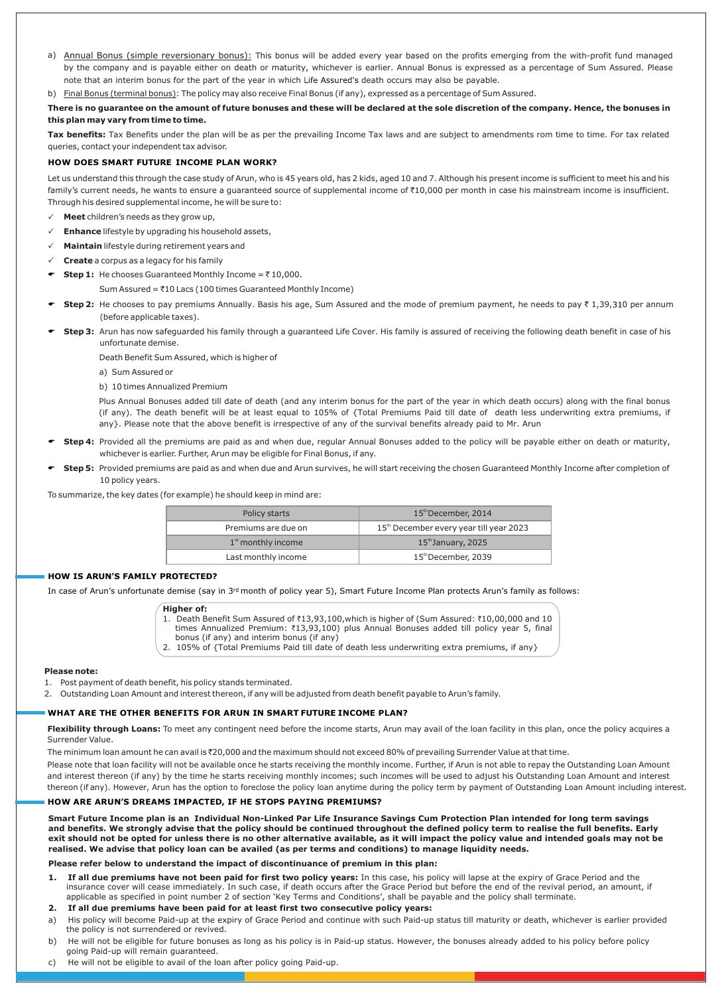- a) Annual Bonus (simple reversionary bonus): This bonus will be added every year based on the profits emerging from the with-profit fund managed by the company and is payable either on death or maturity, whichever is earlier. Annual Bonus is expressed as a percentage of Sum Assured. Please note that an interim bonus for the part of the year in which Life Assured's death occurs may also be payable.
- b) Final Bonus (terminal bonus): The policy may also receive Final Bonus (if any), expressed as a percentage of Sum Assured.

**There is no guarantee on the amount of future bonuses and these will be declared at the sole discretion of the company. Hence, the bonuses in this plan may vary from time to time.**

**Tax benefits:** Tax Benefits under the plan will be as per the prevailing Income Tax laws and are subject to amendments rom time to time. For tax related queries, contact your independent tax advisor.

#### **HOW DOES SMART FUTURE INCOME PLAN WORK?**

Let us understand this through the case study of Arun, who is 45 years old, has 2 kids, aged 10 and 7. Although his present income is sufficient to meet his and his family's current needs, he wants to ensure a guaranteed source of supplemental income of ₹10,000 per month in case his mainstream income is insufficient. Through his desired supplemental income, he will be sure to:

- $\checkmark$  **Meet** children's needs as they grow up,
- **Enhance** lifestyle by upgrading his household assets,
- **Maintain** lifestyle during retirement years and
- **Create** a corpus as a legacy for his family
- **F** Step 1: He chooses Guaranteed Monthly Income =  $\bar{z}$  10,000.

Sum Assured =  $\text{\textsterling}10$  Lacs (100 times Guaranteed Monthly Income)

- Step 2: He chooses to pay premiums Annually. Basis his age, Sum Assured and the mode of premium payment, he needs to pay ₹ 1,39,310 per annum (before applicable taxes).
- Step 3: Arun has now safeguarded his family through a guaranteed Life Cover. His family is assured of receiving the following death benefit in case of his unfortunate demise.

Death Benefit Sum Assured, which is higher of

- a) Sum Assured or
- b) 10 times Annualized Premium

Plus Annual Bonuses added till date of death (and any interim bonus for the part of the year in which death occurs) along with the final bonus (if any). The death benefit will be at least equal to 105% of {Total Premiums Paid till date of death less underwriting extra premiums, if any}. Please note that the above benefit is irrespective of any of the survival benefits already paid to Mr. Arun

- **Step 4:** Provided all the premiums are paid as and when due, regular Annual Bonuses added to the policy will be payable either on death or maturity, whichever is earlier. Further, Arun may be eligible for Final Bonus, if any.
- **Step 5:** Provided premiums are paid as and when due and Arun survives, he will start receiving the chosen Guaranteed Monthly Income after completion of 10 policy years.

To summarize, the key dates (for example) he should keep in mind are:

| Policy starts        | 15th December, 2014                                 |  |  |
|----------------------|-----------------------------------------------------|--|--|
| Premiums are due on  | 15 <sup>th</sup> December every year till year 2023 |  |  |
| $1st$ monthly income | $15th$ January, 2025                                |  |  |
| Last monthly income  | 15th December, 2039                                 |  |  |

#### **HOW IS ARUN'S FAMILY PROTECTED?**

In case of Arun's unfortunate demise (say in 3rd month of policy year 5), Smart Future Income Plan protects Arun's family as follows:

**Higher of:**

1. Death Benefit Sum Assured of ₹13,93,100, which is higher of (Sum Assured: ₹10,00,000 and 10 times Annualized Premium: ₹13,93,100) plus Annual Bonuses added till policy year 5, final

- bonus (if any) and interim bonus (if any)
- 2. 105% of {Total Premiums Paid till date of death less underwriting extra premiums, if any}

#### **Please note:**

- 1. Post payment of death benefit, his policy stands terminated.
- 2. Outstanding Loan Amount and interest thereon, if any will be adjusted from death benefit payable to Arun's family.

#### **WHAT ARE THE OTHER BENEFITS FOR ARUN IN SMART FUTURE INCOME PLAN?**

Flexibility through Loans: To meet any contingent need before the income starts, Arun may avail of the loan facility in this plan, once the policy acquires a Surrender Value.

The minimum loan amount he can avail is ₹20,000 and the maximum should not exceed 80% of prevailing Surrender Value at that time.

Please note that loan facility will not be available once he starts receiving the monthly income. Further, if Arun is not able to repay the Outstanding Loan Amount and interest thereon (if any) by the time he starts receiving monthly incomes; such incomes will be used to adjust his Outstanding Loan Amount and interest thereon (if any). However, Arun has the option to foreclose the policy loan anytime during the policy term by payment of Outstanding Loan Amount including interest.

#### **HOW ARE ARUN'S DREAMS IMPACTED, IF HE STOPS PAYING PREMIUMS?**

**Smart Future Income plan is an Individual Non-Linked Par Life Insurance Savings Cum Protection Plan intended for long term savings and benefits. We strongly advise that the policy should be continued throughout the defined policy term to realise the full benefits. Early exit should not be opted for unless there is no other alternative available, as it will impact the policy value and intended goals may not be realised. We advise that policy loan can be availed (as per terms and conditions) to manage liquidity needs.**

**Please refer below to understand the impact of discontinuance of premium in this plan:**

- **1. If all due premiums have not been paid for first two policy years:** In this case, his policy will lapse at the expiry of Grace Period and the insurance cover will cease immediately. In such case, if death occurs after the Grace Period but before the end of the revival period, an amount, if applicable as specified in point number 2 of section 'Key Terms and Conditions', shall be payable and the policy shall terminate.
- **2. If all due premiums have been paid for at least first two consecutive policy years:**
- a) His policy will become Paid-up at the expiry of Grace Period and continue with such Paid-up status till maturity or death, whichever is earlier provided the policy is not surrendered or revived.
- b) He will not be eligible for future bonuses as long as his policy is in Paid-up status. However, the bonuses already added to his policy before policy going Paid-up will remain guaranteed.
- c) He will not be eligible to avail of the loan after policy going Paid-up.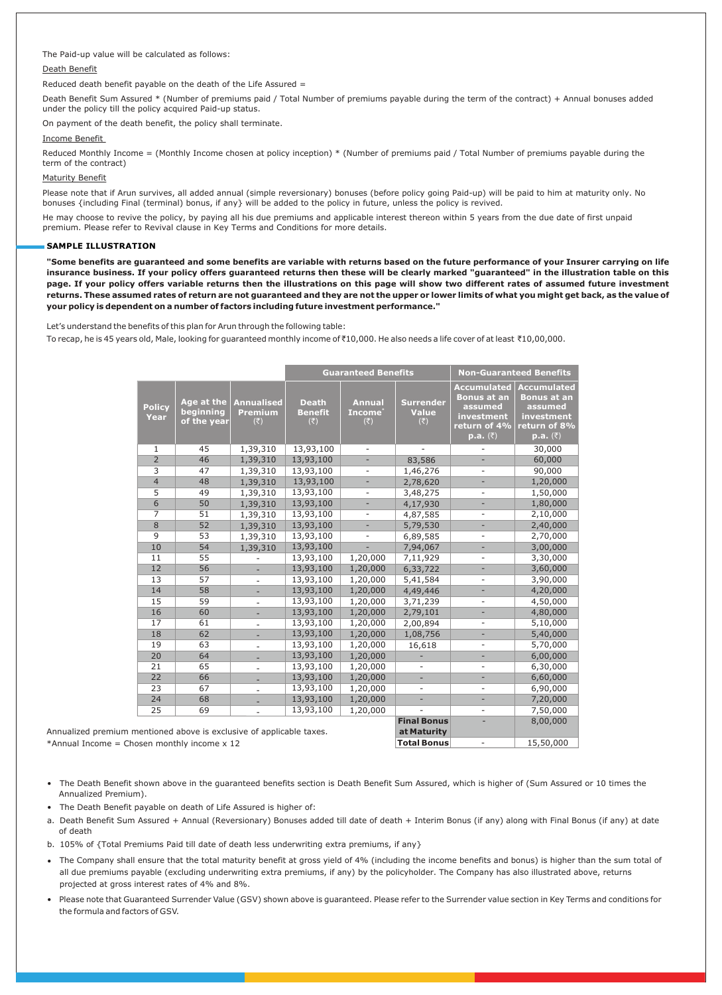#### The Paid-up value will be calculated as follows:

#### Death Benefit

Reduced death benefit payable on the death of the Life Assured  $=$ 

Death Benefit Sum Assured \* (Number of premiums paid / Total Number of premiums payable during the term of the contract) + Annual bonuses added under the policy till the policy acquired Paid-up status.

On payment of the death benefit, the policy shall terminate.

#### Income Benefit

Reduced Monthly Income = (Monthly Income chosen at policy inception) \* (Number of premiums paid / Total Number of premiums payable during the term of the contract)

#### Maturity Benefit

Please note that if Arun survives, all added annual (simple reversionary) bonuses (before policy going Paid-up) will be paid to him at maturity only. No bonuses {including Final (terminal) bonus, if any} will be added to the policy in future, unless the policy is revived.

He may choose to revive the policy, by paying all his due premiums and applicable interest thereon within 5 years from the due date of first unpaid premium. Please refer to Revival clause in Key Terms and Conditions for more details.

#### **SAMPLE ILLUSTRATION**

**"Some benefits are guaranteed and some benefits are variable with returns based on the future performance of your Insurer carrying on life insurance business. If your policy offers guaranteed returns then these will be clearly marked "guaranteed" in the illustration table on this page. If your policy offers variable returns then the illustrations on this page will show two different rates of assumed future investment returns. These assumed rates of return are not guaranteed and they are not the upper or lower limits of what you might get back, as the value of your policy is dependent on a number of factors including future investment performance."**

Let's understand the benefits of this plan for Arun through the following table:

To recap, he is 45 years old, Male, looking for guaranteed monthly income of₹10,000. He also needs a life cover of at least ₹10,00,000.

|                                                     |                                        |                                                             | <b>Guaranteed Benefits</b>            |                                                              | <b>Non-Guaranteed Benefits</b>                           |                                                                                                             |                                                                                                                                      |
|-----------------------------------------------------|----------------------------------------|-------------------------------------------------------------|---------------------------------------|--------------------------------------------------------------|----------------------------------------------------------|-------------------------------------------------------------------------------------------------------------|--------------------------------------------------------------------------------------------------------------------------------------|
| <b>Policy</b><br>Year                               | Age at the<br>beginning<br>of the year | <b>Annualised</b><br><b>Premium</b><br>$(\overline{\zeta})$ | <b>Death</b><br><b>Benefit</b><br>(₹) | <b>Annual</b><br>Income <sup>®</sup><br>$(\overline{\zeta})$ | <b>Surrender</b><br><b>Value</b><br>$(\overline{\zeta})$ | <b>Accumulated</b><br><b>Bonus at an</b><br>assumed<br>investment<br>return of 4%<br><mark>p.a. (</mark> ₹) | <b>Accumulated</b><br><b>Bonus at an</b><br>assumed<br>investment<br>return of 8%<br>$\mathbf{p}.\mathbf{a}.$ ( $\overline{\zeta}$ ) |
| $\mathbf{1}$                                        | 45                                     | 1,39,310                                                    | 13,93,100                             | $\sim$                                                       |                                                          |                                                                                                             | 30,000                                                                                                                               |
| $\overline{2}$                                      | 46                                     | 1,39,310                                                    | 13,93,100                             | ÷.                                                           | 83,586                                                   |                                                                                                             | 60,000                                                                                                                               |
| 3                                                   | 47                                     | 1,39,310                                                    | 13,93,100                             |                                                              | 1,46,276                                                 | $\overline{a}$                                                                                              | 90,000                                                                                                                               |
| $\overline{4}$                                      | 48                                     | 1,39,310                                                    | 13,93,100                             |                                                              | 2,78,620                                                 |                                                                                                             | 1,20,000                                                                                                                             |
| 5                                                   | 49                                     | 1,39,310                                                    | 13,93,100                             |                                                              | 3,48,275                                                 |                                                                                                             | 1,50,000                                                                                                                             |
| $\overline{6}$                                      | 50                                     | 1,39,310                                                    | 13,93,100                             |                                                              | 4,17,930                                                 |                                                                                                             | 1,80,000                                                                                                                             |
| 7                                                   | 51                                     | 1,39,310                                                    | 13,93,100                             | $\overline{\phantom{a}}$                                     | 4,87,585                                                 | ÷,                                                                                                          | 2,10,000                                                                                                                             |
| $\overline{8}$                                      | 52                                     | 1,39,310                                                    | 13,93,100                             | ÷.                                                           | 5,79,530                                                 | ÷,                                                                                                          | 2,40,000                                                                                                                             |
| 9                                                   | 53                                     | 1,39,310                                                    | 13,93,100                             | $\overline{\phantom{a}}$                                     | 6,89,585                                                 | $\overline{\phantom{a}}$                                                                                    | 2,70,000                                                                                                                             |
| 10                                                  | 54                                     | 1,39,310                                                    | 13,93,100                             |                                                              | 7,94,067                                                 | ÷,                                                                                                          | 3,00,000                                                                                                                             |
| 11                                                  | 55                                     |                                                             | 13,93,100                             | 1,20,000                                                     | 7,11,929                                                 | $\overline{a}$                                                                                              | 3,30,000                                                                                                                             |
| 12                                                  | 56                                     |                                                             | 13,93,100                             | 1,20,000                                                     | 6,33,722                                                 | ÷.                                                                                                          | 3,60,000                                                                                                                             |
| 13                                                  | 57                                     |                                                             | 13,93,100                             | 1,20,000                                                     | 5,41,584                                                 | ÷,                                                                                                          | 3,90,000                                                                                                                             |
| 14                                                  | 58                                     |                                                             | 13,93,100                             | 1,20,000                                                     | 4,49,446                                                 |                                                                                                             | 4,20,000                                                                                                                             |
| 15                                                  | 59                                     | $\overline{\phantom{a}}$                                    | 13,93,100                             | 1,20,000                                                     | 3,71,239                                                 | $\overline{\phantom{0}}$                                                                                    | 4,50,000                                                                                                                             |
| 16                                                  | 60                                     |                                                             | 13,93,100                             | 1,20,000                                                     | 2,79,101                                                 | ÷,                                                                                                          | 4,80,000                                                                                                                             |
| 17                                                  | 61                                     |                                                             | 13,93,100                             | 1,20,000                                                     | 2,00,894                                                 | $\overline{\phantom{0}}$                                                                                    | 5,10,000                                                                                                                             |
| 18                                                  | 62                                     |                                                             | 13,93,100                             | 1,20,000                                                     | 1,08,756                                                 | ÷,                                                                                                          | 5,40,000                                                                                                                             |
| 19                                                  | 63                                     |                                                             | 13,93,100                             | 1,20,000                                                     | 16,618                                                   | ÷,                                                                                                          | 5,70,000                                                                                                                             |
| 20                                                  | 64                                     |                                                             | 13,93,100                             | 1,20,000                                                     |                                                          |                                                                                                             | 6,00,000                                                                                                                             |
| 21                                                  | 65                                     |                                                             | 13,93,100                             | 1,20,000                                                     |                                                          | ÷,                                                                                                          | 6,30,000                                                                                                                             |
| 22                                                  | 66                                     |                                                             | 13,93,100                             | 1,20,000                                                     |                                                          | ÷                                                                                                           | 6,60,000                                                                                                                             |
| 23                                                  | 67                                     |                                                             | 13,93,100                             | 1,20,000                                                     | $\overline{\phantom{a}}$                                 | $\overline{\phantom{m}}$                                                                                    | 6,90,000                                                                                                                             |
| 24                                                  | 68                                     | ÷,                                                          | 13,93,100                             | 1,20,000                                                     | $\overline{a}$                                           | ÷,                                                                                                          | 7,20,000                                                                                                                             |
| 25                                                  | 69                                     |                                                             | 13,93,100                             | 1,20,000                                                     |                                                          | ÷.                                                                                                          | 7,50,000                                                                                                                             |
| n mentioned above is exclusive of applicable taxes. |                                        |                                                             |                                       | <b>Final Bonus</b><br>at Maturity                            |                                                          | 8,00,000                                                                                                    |                                                                                                                                      |
| Chosen monthly income x 12                          |                                        |                                                             |                                       |                                                              | <b>Total Bonus</b>                                       | ÷,                                                                                                          | 15,50,000                                                                                                                            |

sen monthiv income x Annualized premiun  $*$ Annual Income = Chos

- The Death Benefit shown above in the guaranteed benefits section is Death Benefit Sum Assured, which is higher of (Sum Assured or 10 times the Annualized Premium).
- The Death Benefit payable on death of Life Assured is higher of:
- a. Death Benefit Sum Assured + Annual (Reversionary) Bonuses added till date of death + Interim Bonus (if any) along with Final Bonus (if any) at date of death
- b. 105% of {Total Premiums Paid till date of death less underwriting extra premiums, if any}
- The Company shall ensure that the total maturity benefit at gross yield of 4% (including the income benefits and bonus) is higher than the sum total of all due premiums payable (excluding underwriting extra premiums, if any) by the policyholder. The Company has also illustrated above, returns projected at gross interest rates of 4% and 8%.
- Please note that Guaranteed Surrender Value (GSV) shown above is guaranteed. Please refer to the Surrender value section in Key Terms and conditions for the formula and factors of GSV.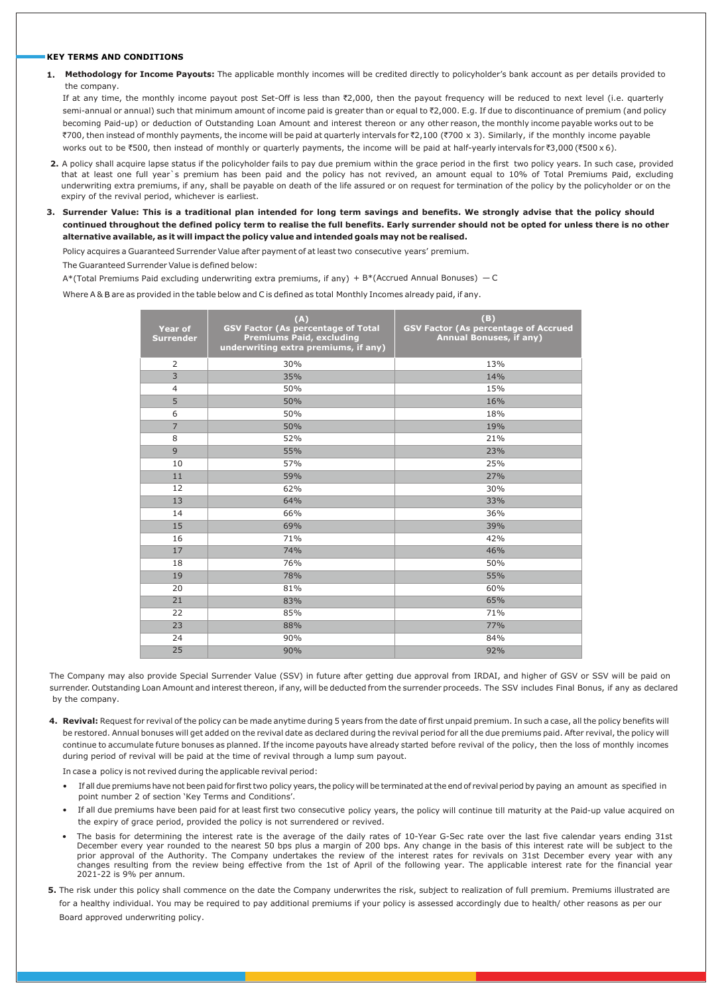#### **KEY TERMS AND CONDITIONS**

**1. Methodology for Income Payouts:** The applicable monthly incomes will be credited directly to policyholder's bank account as per details provided to the company.

If at any time, the monthly income payout post Set-Off is less than ₹2,000, then the payout frequency will be reduced to next level (i.e. quarterly semi-annual or annual) such that minimum amount of income paid is greater than or equal to ₹2,000. E.g. If due to discontinuance of premium (and policy becoming Paid-up) or deduction of Outstanding Loan Amount and interest thereon or any other reason, the monthly income payable works out to be `700, then instead of monthly payments, the income will be paid at quarterly intervals for `2,100 (`700 x 3). Similarly, if the monthly income payable works out to be ₹500, then instead of monthly or quarterly payments, the income will be paid at half-yearly intervals for ₹3,000 (₹500 x 6).

- **2.** A policy shall acquire lapse status if the policyholder fails to pay due premium within the grace period in the first two policy years. In such case, provided that at least one full year's premium has been paid and the policy has not revived, an amount equal to 10% of Total Premiums Paid, excluding underwriting extra premiums, if any, shall be payable on death of the life assured or on request for termination of the policy by the policyholder or on the expiry of the revival period, whichever is earliest.
- **3. Surrender Value: This is a traditional plan intended for long term savings and benefits. We strongly advise that the policy should continued throughout the defined policy term to realise the full benefits. Early surrender should not be opted for unless there is no other alternative available, as it will impact the policy value and intended goals may not be realised.**

Policy acquires a Guaranteed Surrender Value after payment of at least two consecutive years' premium.

The Guaranteed Surrender Value is defined below:

A\*(Total Premiums Paid excluding underwriting extra premiums, if any) + B\*(Accrued Annual Bonuses) — C

Where A & B are as provided in the table below and C is defined as total Monthly Incomes already paid, if any.

| <b>Year of</b><br><b>Surrender</b> | (A)<br><b>GSV Factor (As percentage of Total</b><br>Premiums Paid, excluding<br>underwriting extra premiums, if any) | (B)<br><b>GSV Factor (As percentage of Accrued</b><br><b>Annual Bonuses, if any)</b> |  |  |
|------------------------------------|----------------------------------------------------------------------------------------------------------------------|--------------------------------------------------------------------------------------|--|--|
| $\overline{2}$                     | 30%                                                                                                                  | 13%                                                                                  |  |  |
| $\overline{3}$                     | 35%                                                                                                                  | 14%                                                                                  |  |  |
| $\overline{4}$                     | 50%                                                                                                                  | 15%                                                                                  |  |  |
| 5                                  | 50%                                                                                                                  | 16%                                                                                  |  |  |
| 6                                  | 50%                                                                                                                  | 18%                                                                                  |  |  |
| $\overline{7}$                     | 50%                                                                                                                  | 19%                                                                                  |  |  |
| 8                                  | 52%                                                                                                                  | 21%                                                                                  |  |  |
| 9                                  | 55%                                                                                                                  | 23%                                                                                  |  |  |
| 10                                 | 57%                                                                                                                  | 25%                                                                                  |  |  |
| 11                                 | 59%                                                                                                                  | 27%                                                                                  |  |  |
| 12                                 | 62%                                                                                                                  | 30%                                                                                  |  |  |
| 13                                 | 64%                                                                                                                  | 33%                                                                                  |  |  |
| 14                                 | 66%                                                                                                                  | 36%                                                                                  |  |  |
| 15                                 | 69%                                                                                                                  | 39%                                                                                  |  |  |
| 16                                 | 71%                                                                                                                  | 42%                                                                                  |  |  |
| 17                                 | 74%                                                                                                                  | 46%                                                                                  |  |  |
| 18                                 | 76%                                                                                                                  | 50%                                                                                  |  |  |
| 19                                 | 78%                                                                                                                  | 55%                                                                                  |  |  |
| 20                                 | 81%                                                                                                                  | 60%                                                                                  |  |  |
| 21                                 | 83%                                                                                                                  | 65%                                                                                  |  |  |
| 22                                 | 85%                                                                                                                  | 71%                                                                                  |  |  |
| 23                                 | 88%                                                                                                                  | 77%                                                                                  |  |  |
| 24                                 | 90%                                                                                                                  | 84%                                                                                  |  |  |
| 25                                 | 90%                                                                                                                  | 92%                                                                                  |  |  |

The Company may also provide Special Surrender Value (SSV) in future after getting due approval from IRDAI, and higher of GSV or SSV will be paid on surrender. Outstanding Loan Amount and interest thereon, if any, will be deducted from the surrender proceeds. The SSV includes Final Bonus, if any as declared by the company.

**4. Revival:** Request for revival of the policy can be made anytime during 5 years from the date of first unpaid premium. In such a case, all the policy benefits will be restored. Annual bonuses will get added on the revival date as declared during the revival period for all the due premiums paid. After revival, the policy will continue to accumulate future bonuses as planned. If the income payouts have already started before revival of the policy, then the loss of monthly incomes during period of revival will be paid at the time of revival through a lump sum payout.

In case a policy is not revived during the applicable revival period:

- If all due premiums have not been paid for first two policy years, the policy will be terminated at the end of revival period by paying an amount as specified in point number 2 of section 'Key Terms and Conditions'.
- If all due premiums have been paid for at least first two consecutive policy years, the policy will continue till maturity at the Paid-up value acquired on the expiry of grace period, provided the policy is not surrendered or revived.
- The basis for determining the interest rate is the average of the daily rates of 10-Year G-Sec rate over the last five calendar years ending 31st December every year rounded to the nearest 50 bps plus a margin of 200 bps. Any change in the basis of this interest rate will be subject to the prior approval of the Authority. The Company undertakes the review of the interest rates for revivals on 31st December every year with any changes resulting from the review being effective from the 1st of April of the following year. The applicable interest rate for the financial year 2021-22 is 9% per annum.
- **5.** The risk under this policy shall commence on the date the Company underwrites the risk, subject to realization of full premium. Premiums illustrated are for a healthy individual. You may be required to pay additional premiums if your policy is assessed accordingly due to health/ other reasons as per our Board approved underwriting policy.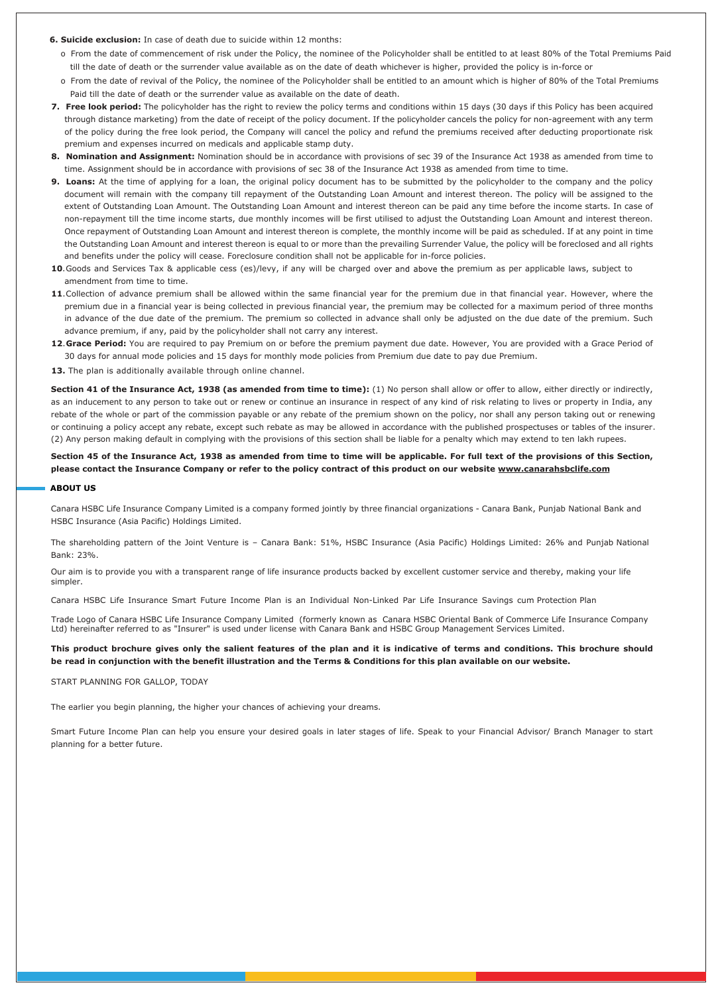#### **6. Suicide exclusion:** In case of death due to suicide within 12 months:

- o From the date of commencement of risk under the Policy, the nominee of the Policyholder shall be entitled to at least 80% of the Total Premiums Paid till the date of death or the surrender value available as on the date of death whichever is higher, provided the policy is in-force or
- o From the date of revival of the Policy, the nominee of the Policyholder shall be entitled to an amount which is higher of 80% of the Total Premiums Paid till the date of death or the surrender value as available on the date of death.
- **7. Free look period:** The policyholder has the right to review the policy terms and conditions within 15 days (30 days if this Policy has been acquired through distance marketing) from the date of receipt of the policy document. If the policyholder cancels the policy for non-agreement with any term of the policy during the free look period, the Company will cancel the policy and refund the premiums received after deducting proportionate risk premium and expenses incurred on medicals and applicable stamp duty.
- **8. Nomination and Assignment:** Nomination should be in accordance with provisions of sec 39 of the Insurance Act 1938 as amended from time to time. Assignment should be in accordance with provisions of sec 38 of the Insurance Act 1938 as amended from time to time.
- **9. Loans:** At the time of applying for a loan, the original policy document has to be submitted by the policyholder to the company and the policy document will remain with the company till repayment of the Outstanding Loan Amount and interest thereon. The policy will be assigned to the extent of Outstanding Loan Amount. The Outstanding Loan Amount and interest thereon can be paid any time before the income starts. In case of non-repayment till the time income starts, due monthly incomes will be first utilised to adjust the Outstanding Loan Amount and interest thereon. Once repayment of Outstanding Loan Amount and interest thereon is complete, the monthly income will be paid as scheduled. If at any point in time the Outstanding Loan Amount and interest thereon is equal to or more than the prevailing Surrender Value, the policy will be foreclosed and all rights and benefits under the policy will cease. Foreclosure condition shall not be applicable for in-force policies.
- 10. Goods and Services Tax & applicable cess (es)/levy, if any will be charged over and above the premium as per applicable laws, subject to amendment from time to time.
- **11**. Collection of advance premium shall be allowed within the same financial year for the premium due in that financial year. However, where the premium due in a financial year is being collected in previous financial year, the premium may be collected for a maximum period of three months in advance of the due date of the premium. The premium so collected in advance shall only be adjusted on the due date of the premium. Such advance premium, if any, paid by the policyholder shall not carry any interest.
- **12**. **Grace Period:** You are required to pay Premium on or before the premium payment due date. However, You are provided with a Grace Period of 30 days for annual mode policies and 15 days for monthly mode policies from Premium due date to pay due Premium.
- **13.** The plan is additionally available through online channel.

**Section 41 of the Insurance Act, 1938 (as amended from time to time):** (1) No person shall allow or offer to allow, either directly or indirectly, as an inducement to any person to take out or renew or continue an insurance in respect of any kind of risk relating to lives or property in India, any rebate of the whole or part of the commission payable or any rebate of the premium shown on the policy, nor shall any person taking out or renewing or continuing a policy accept any rebate, except such rebate as may be allowed in accordance with the published prospectuses or tables of the insurer (2) Any person making default in complying with the provisions of this section shall be liable for a penalty which may extend to ten lakh rupees.

**Section 45 of the Insurance Act, 1938 as amended from time to time will be applicable. For full text of the provisions of this Section, please contact the Insurance Company or refer to the policy contract of this product on our website www.canarahsbclife.com**

#### **ABOUT US**

Canara HSBC Life Insurance Company Limited is a company formed jointly by three financial organizations - Canara Bank, Punjab National Bank and HSBC Insurance (Asia Pacific) Holdings Limited.

The shareholding pattern of the Joint Venture is – Canara Bank: 51%, HSBC Insurance (Asia Pacific) Holdings Limited: 26% and Punjab National Bank: 23%.

Our aim is to provide you with a transparent range of life insurance products backed by excellent customer service and thereby, making your life simpler.

Canara HSBC Life Insurance Smart Future Income Plan is an Individual Non-Linked Par Life Insurance Savings cum Protection Plan

Trade Logo of Canara HSBC Life Insurance Company Limited (formerly known as Canara HSBC Oriental Bank of Commerce Life Insurance Company Ltd) hereinafter referred to as "Insurer" is used under license with Canara Bank and HSBC Group Management Services Limited.

#### **This product brochure gives only the salient features of the plan and it is indicative of terms and conditions. This brochure should be read in conjunction with the benefit illustration and the Terms & Conditions for this plan available on our website.**

START PLANNING FOR GALLOP, TODAY

The earlier you begin planning, the higher your chances of achieving your dreams.

Smart Future Income Plan can help you ensure your desired goals in later stages of life. Speak to your Financial Advisor/ Branch Manager to start planning for a better future.